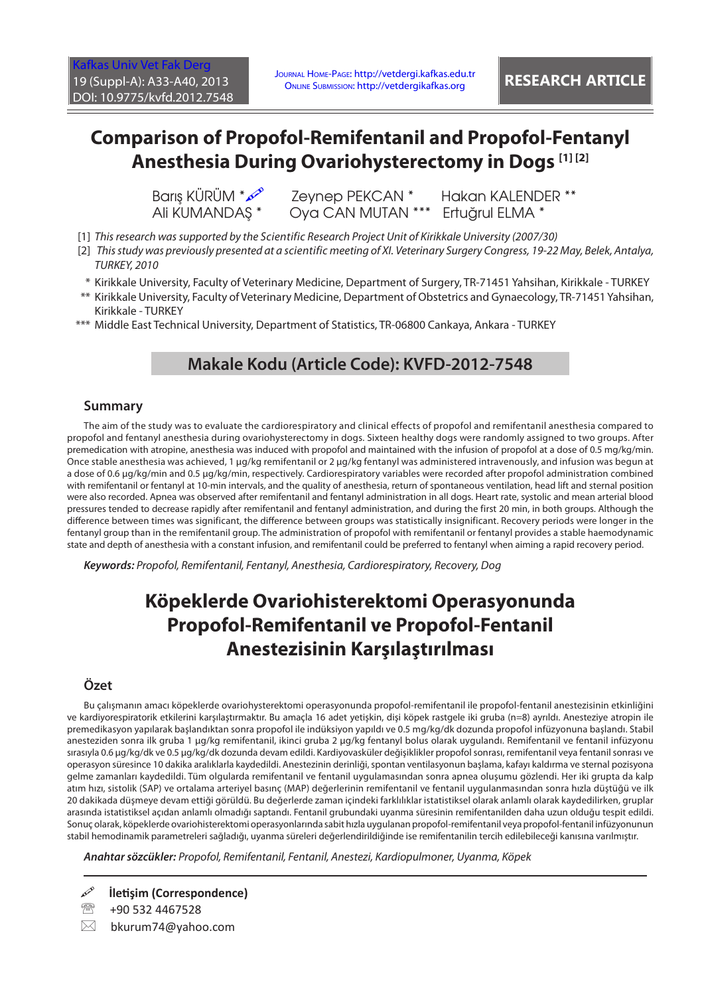# **Comparison of Propofol-Remifentanil and Propofol-Fentanyl Anesthesia During Ovariohysterectomy in Dogs [1] [2]**

Barış KÜRÜM \*  $\infty$  Zeynep PEKCAN \* Hakan KALENDER \*\* Ali KUMANDAS \* Oya CAN MUTAN \*\*\* Ertuğrul ELMA \*

- [1] *This research was supported by the Scientific Research Project Unit of Kirikkale University (2007/30)*
- [2]  *This study was previously presented at a scientific meeting of XI. Veterinary Surgery Congress, 19-22 May, Belek, Antalya, TURKEY, 2010*
- \* Kirikkale University, Faculty of Veterinary Medicine, Department of Surgery, TR-71451 Yahsihan, Kirikkale TURKEY
- \*\* Kirikkale University, Faculty of Veterinary Medicine, Department of Obstetrics and Gynaecology, TR-71451 Yahsihan, Kirikkale - TURKEY
- \*\*\* Middle East Technical University, Department of Statistics, TR-06800 Cankaya, Ankara TURKEY

#### **Makale Kodu (Article Code): KVFD-2012-7548**

#### **Summary**

The aim of the study was to evaluate the cardiorespiratory and clinical effects of propofol and remifentanil anesthesia compared to propofol and fentanyl anesthesia during ovariohysterectomy in dogs. Sixteen healthy dogs were randomly assigned to two groups. After premedication with atropine, anesthesia was induced with propofol and maintained with the infusion of propofol at a dose of 0.5 mg/kg/min. Once stable anesthesia was achieved, 1 µg/kg remifentanil or 2 µg/kg fentanyl was administered intravenously, and infusion was begun at a dose of 0.6 µg/kg/min and 0.5 µg/kg/min, respectively. Cardiorespiratory variables were recorded after propofol administration combined with remifentanil or fentanyl at 10-min intervals, and the quality of anesthesia, return of spontaneous ventilation, head lift and sternal position were also recorded. Apnea was observed after remifentanil and fentanyl administration in all dogs. Heart rate, systolic and mean arterial blood pressures tended to decrease rapidly after remifentanil and fentanyl administration, and during the first 20 min, in both groups. Although the difference between times was significant, the difference between groups was statistically insignificant. Recovery periods were longer in the fentanyl group than in the remifentanil group. The administration of propofol with remifentanil or fentanyl provides a stable haemodynamic state and depth of anesthesia with a constant infusion, and remifentanil could be preferred to fentanyl when aiming a rapid recovery period.

*Keywords: Propofol, Remifentanil, Fentanyl, Anesthesia, Cardiorespiratory, Recovery, Dog*

## **Köpeklerde Ovariohisterektomi Operasyonunda Propofol-Remifentanil ve Propofol-Fentanil Anestezisinin Karşılaştırılması**

#### **Özet**

Bu çalışmanın amacı köpeklerde ovariohysterektomi operasyonunda propofol-remifentanil ile propofol-fentanil anestezisinin etkinliğini ve kardiyorespiratorik etkilerini karşılaştırmaktır. Bu amaçla 16 adet yetişkin, dişi köpek rastgele iki gruba (n=8) ayrıldı. Anesteziye atropin ile premedikasyon yapılarak başlandıktan sonra propofol ile indüksiyon yapıldı ve 0.5 mg/kg/dk dozunda propofol infüzyonuna başlandı. Stabil anesteziden sonra ilk gruba 1 µg/kg remifentanil, ikinci gruba 2 µg/kg fentanyl bolus olarak uygulandı. Remifentanil ve fentanil infüzyonu sırasıyla 0.6 µg/kg/dk ve 0.5 µg/kg/dk dozunda devam edildi. Kardiyovasküler değişiklikler propofol sonrası, remifentanil veya fentanil sonrası ve operasyon süresince 10 dakika aralıklarla kaydedildi. Anestezinin derinliği, spontan ventilasyonun başlama, kafayı kaldırma ve sternal pozisyona gelme zamanları kaydedildi. Tüm olgularda remifentanil ve fentanil uygulamasından sonra apnea oluşumu gözlendi. Her iki grupta da kalp atım hızı, sistolik (SAP) ve ortalama arteriyel basınç (MAP) değerlerinin remifentanil ve fentanil uygulanmasından sonra hızla düştüğü ve ilk 20 dakikada düşmeye devam ettiği görüldü. Bu değerlerde zaman içindeki farklılıklar istatistiksel olarak anlamlı olarak kaydedilirken, gruplar arasında istatistiksel açıdan anlamlı olmadığı saptandı. Fentanil grubundaki uyanma süresinin remifentanilden daha uzun olduğu tespit edildi. Sonuç olarak, köpeklerde ovariohisterektomi operasyonlarında sabit hızla uygulanan propofol-remifentanil veya propofol-fentanil infüzyonunun stabil hemodinamik parametreleri sağladığı, uyanma süreleri değerlendirildiğinde ise remifentanilin tercih edilebileceği kanısına varılmıştır.

*Anahtar sözcükler: Propofol, Remifentanil, Fentanil, Anestezi, Kardiopulmoner, Uyanma, Köpek*

**İletişim (Correspondence)**

<sup>2</sup> +90 532 4467528

 $\boxtimes$  bkurum74@yahoo.com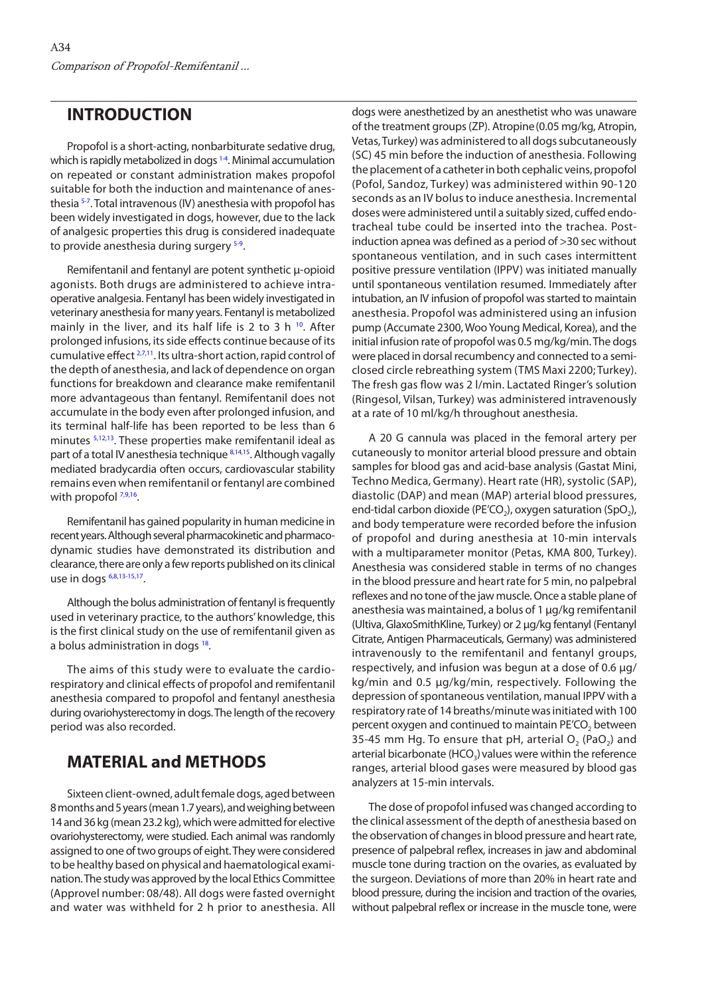#### **INTRODUCTION**

Propofol is a short-acting, nonbarbiturate sedative drug, which is rapidly metabolized in dogs<sup>1-4</sup>. Minimal accumulation on repeated or constant administration makes propofol suitable for both the induction and maintenance of anesthesi[a 5-7. T](#page-6-0)otal intravenous (IV) anesthesia with propofol has been widely investigated in dogs, however, due to the lack of analgesic properties this drug is considered inadequate to provide anesthesia during surgery  $5-9$ .

Remifentanil and fentanyl are potent synthetic µ-opioid agonists. Both drugs are administered to achieve intraoperative analgesia. Fentanyl has been widely investigated in veterinary anesthesia for many years. Fentanyl is metabolized mainly in the liver, and its half life is 2 to 3 h  $^{10}$  $^{10}$  $^{10}$ . After prolonged infusions, its side effects continue because of its cumulative effect <sup>2,7,11</sup>. Its ultra-short action, rapid control of the depth of anesthesia, and lack of dependence on organ functions for breakdown and clearance make remifentanil more advantageous than fentanyl. Remifentanil does not accumulate in the body even after prolonged infusion, and its terminal half-life has been reported to be less than 6 minutes [5,12,13.](#page-6-0) These properties make remifentanil ideal as part of a total IV anesthesia technique [8,14,15](#page-6-0). Although vagally mediated bradycardia often occurs, cardiovascular stability remains even when remifentanil or fentanyl are combined with propofol  $7,9,16$ .

Remifentanil has gained popularity in human medicine in recent years. Although several pharmacokinetic and pharmacodynamic studies have demonstrated its distribution and clearance, there are only a few reports published on its clinical use in dogs [6,8,13-15,17.](#page-6-0)

Although the bolus administration of fentanyl is frequently used in veterinary practice, to the authors' knowledge, this is the first clinical study on the use of remifentanil given as a bolus administration in dogs <sup>18</sup>.

The aims of this study were to evaluate the cardiorespiratory and clinical effects of propofol and remifentanil anesthesia compared to propofol and fentanyl anesthesia during ovariohysterectomy in dogs. The length of the recovery period was also recorded.

### **MATERIAL and METHODS**

Sixteen client-owned, adult female dogs, aged between 8 months and 5 years (mean 1.7 years), and weighing between 14 and 36 kg (mean 23.2 kg), which were admitted for elective ovariohysterectomy, were studied. Each animal was randomly assigned to one of two groups of eight. They were considered to be healthy based on physical and haematological examination. The study was approved by the local Ethics Committee (Approvel number: 08/48). All dogs were fasted overnight and water was withheld for 2 h prior to anesthesia. All

dogs were anesthetized by an anesthetist who was unaware of the treatment groups (ZP). Atropine(0.05 mg/kg, Atropin, Vetas, Turkey) was administered to all dogs subcutaneously (SC) 45 min before the induction of anesthesia. Following the placement of a catheter in both cephalic veins, propofol (Pofol, Sandoz, Turkey) was administered within 90-120 seconds as an IV bolus to induce anesthesia. Incremental doses were administered until a suitably sized, cuffed endotracheal tube could be inserted into the trachea. Postinduction apnea was defined as a period of >30 sec without spontaneous ventilation, and in such cases intermittent positive pressure ventilation (IPPV) was initiated manually until spontaneous ventilation resumed. Immediately after intubation, an IV infusion of propofol was started to maintain anesthesia. Propofol was administered using an infusion pump (Accumate 2300, Woo Young Medical, Korea), and the initial infusion rate of propofol was 0.5 mg/kg/min. The dogs were placed in dorsal recumbency and connected to a semiclosed circle rebreathing system (TMS Maxi 2200; Turkey). The fresh gas flow was 2 l/min. Lactated Ringer's solution (Ringesol, Vilsan, Turkey) was administered intravenously at a rate of 10 ml/kg/h throughout anesthesia.

A 20 G cannula was placed in the femoral artery per cutaneously to monitor arterial blood pressure and obtain samples for blood gas and acid-base analysis (Gastat Mini, Techno Medica, Germany). Heart rate (HR), systolic (SAP), diastolic (DAP) and mean (MAP) arterial blood pressures, end-tidal carbon dioxide (PE'CO<sub>2</sub>), oxygen saturation (SpO<sub>2</sub>), and body temperature were recorded before the infusion of propofol and during anesthesia at 10-min intervals with a multiparameter monitor (Petas, KMA 800, Turkey). Anesthesia was considered stable in terms of no changes in the blood pressure and heart rate for 5 min, no palpebral reflexes and no tone of the jaw muscle. Once a stable plane of anesthesia was maintained, a bolus of 1 µg/kg remifentanil (Ultiva, GlaxoSmithKline, Turkey) or 2 µg/kg fentanyl (Fentanyl Citrate, Antigen Pharmaceuticals, Germany) was administered intravenously to the remifentanil and fentanyl groups, respectively, and infusion was begun at a dose of 0.6 µg/ kg/min and 0.5 µg/kg/min, respectively. Following the depression of spontaneous ventilation, manual IPPV with a respiratory rate of 14 breaths/minute was initiated with 100 percent oxygen and continued to maintain PE'CO<sub>2</sub> between 35-45 mm Hg. To ensure that pH, arterial  $O<sub>2</sub>$  (PaO<sub>2</sub>) and arterial bicarbonate (HCO<sub>3</sub>) values were within the reference ranges, arterial blood gases were measured by blood gas analyzers at 15-min intervals.

The dose of propofol infused was changed according to the clinical assessment of the depth of anesthesia based on the observation of changes in blood pressure and heart rate, presence of palpebral reflex, increases in jaw and abdominal muscle tone during traction on the ovaries, as evaluated by the surgeon. Deviations of more than 20% in heart rate and blood pressure, during the incision and traction of the ovaries, without palpebral reflex or increase in the muscle tone, were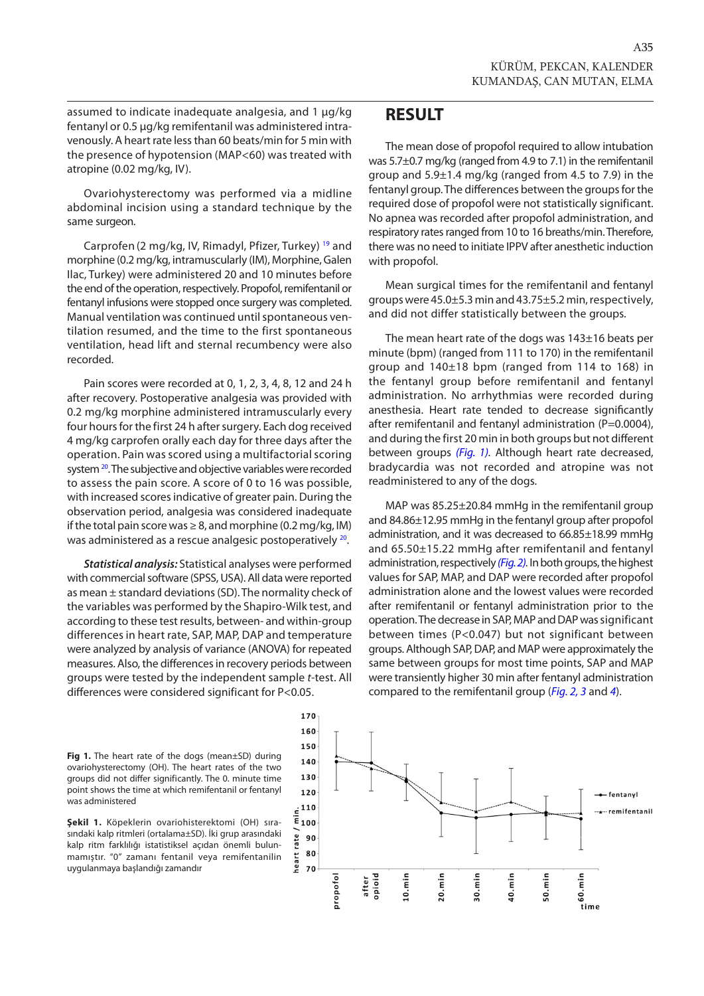assumed to indicate inadequate analgesia, and 1 µg/kg fentanyl or 0.5 µg/kg remifentanil was administered intravenously. A heart rate less than 60 beats/min for 5 min with the presence of hypotension (MAP<60) was treated with atropine (0.02 mg/kg, IV).

Ovariohysterectomy was performed via a midline abdominal incision using a standard technique by the same surgeon.

Carprofen (2 mg/kg, IV, Rimadyl, Pfizer, Turkey) [19](#page-6-0) and morphine (0.2 mg/kg, intramuscularly (IM), Morphine, Galen Ilac, Turkey) were administered 20 and 10 minutes before the end of the operation, respectively. Propofol, remifentanil or fentanyl infusions were stopped once surgery was completed. Manual ventilation was continued until spontaneous ventilation resumed, and the time to the first spontaneous ventilation, head lift and sternal recumbency were also recorded.

Pain scores were recorded at 0, 1, 2, 3, 4, 8, 12 and 24 h after recovery. Postoperative analgesia was provided with 0.2 mg/kg morphine administered intramuscularly every four hours for the first 24 h after surgery. Each dog received 4 mg/kg carprofen orally each day for three days after the operation. Pain was scored using a multifactorial scoring system <sup>20</sup>. The subjective and objective variables were recorded to assess the pain score. A score of 0 to 16 was possible, with increased scores indicative of greater pain. During the observation period, analgesia was considered inadequate if the total pain score was  $\geq 8$ , and morphine (0.2 mg/kg, IM) was administered as a rescue analgesic postoperativel[y 20.](#page-6-0)

*Statistical analysis:* Statistical analyses were performed with commercial software (SPSS, USA). All data were reported as mean ± standard deviations (SD). The normality check of the variables was performed by the Shapiro-Wilk test, and according to these test results, between- and within-group differences in heart rate, SAP, MAP, DAP and temperature were analyzed by analysis of variance (ANOVA) for repeated measures. Also, the differences in recovery periods between groups were tested by the independent sample *t*-test. All differences were considered significant for P<0.05.

#### **RESULT**

The mean dose of propofol required to allow intubation was 5.7±0.7 mg/kg (ranged from 4.9 to 7.1) in the remifentanil group and 5.9±1.4 mg/kg (ranged from 4.5 to 7.9) in the fentanyl group. The differences between the groups for the required dose of propofol were not statistically significant. No apnea was recorded after propofol administration, and respiratory rates ranged from 10 to 16 breaths/min. Therefore, there was no need to initiate IPPV after anesthetic induction with propofol.

Mean surgical times for the remifentanil and fentanyl groups were 45.0±5.3 min and 43.75±5.2 min, respectively, and did not differ statistically between the groups.

The mean heart rate of the dogs was 143±16 beats per minute (bpm) (ranged from 111 to 170) in the remifentanil group and 140±18 bpm (ranged from 114 to 168) in the fentanyl group before remifentanil and fentanyl administration. No arrhythmias were recorded during anesthesia. Heart rate tended to decrease significantly after remifentanil and fentanyl administration (P=0.0004), and during the first 20 min in both groups but not different between groups *(Fig. 1).* Although heart rate decreased, bradycardia was not recorded and atropine was not readministered to any of the dogs.

MAP was 85.25±20.84 mmHg in the remifentanil group and 84.86±12.95 mmHg in the fentanyl group after propofol administration, and it was decreased to 66.85±18.99 mmHg and 65.50±15.22 mmHg after remifentanil and fentanyl administration, respectively *[\(Fig. 2\).](#page-3-0)* In both groups, the highest values for SAP, MAP, and DAP were recorded after propofol administration alone and the lowest values were recorded after remifentanil or fentanyl administration prior to the operation. The decrease in SAP, MAP and DAP was significant between times (P<0.047) but not significant between groups. Although SAP, DAP, and MAP were approximately the same between groups for most time points, SAP and MAP were transiently higher 30 min after fentanyl administration compared to the remifentanil group (*[Fig. 2,](#page-3-0) [3](#page-3-0)* and *[4](#page-3-0)*).



**Şekil 1.** Köpeklerin ovariohisterektomi (OH) sırasındaki kalp ritmleri (ortalama±SD). İki grup arasındaki kalp ritm farklılığı istatistiksel açıdan önemli bulunmamıştır. "0" zamanı fentanil veya remifentanilin uygulanmaya başlandığı zamandır

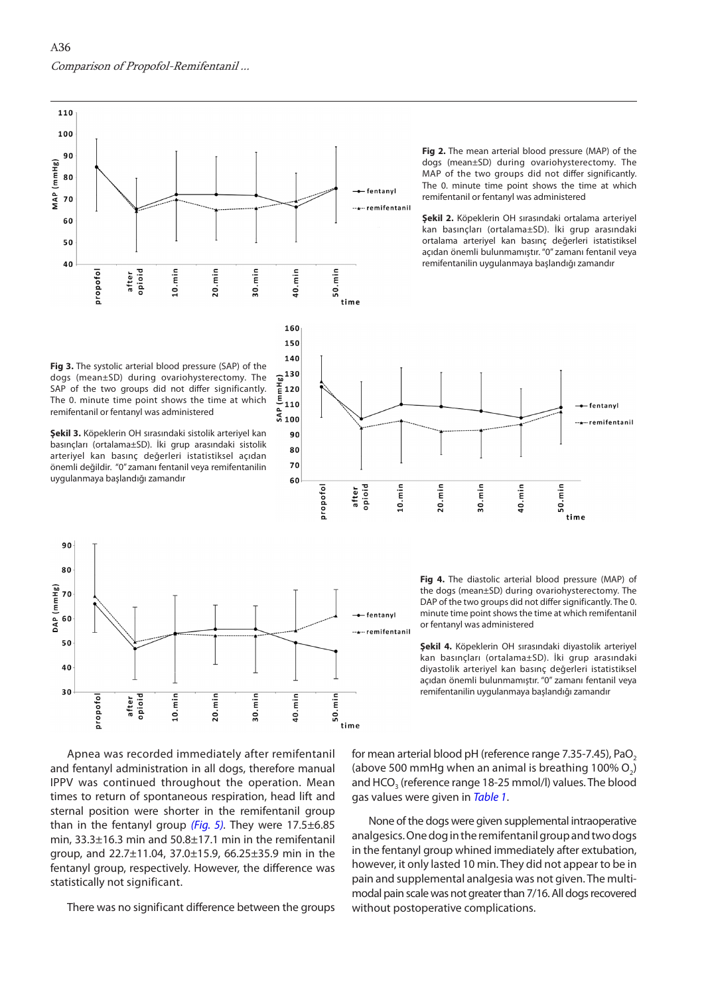<span id="page-3-0"></span>

120  $110$ 

> > propofol

opioid

after

 $10.\text{min}$ 

 $20.\text{min}$ 

30.min

**Fig 2.** The mean arterial blood pressure (MAP) of the dogs (mean±SD) during ovariohysterectomy. The MAP of the two groups did not differ significantly. The 0. minute time point shows the time at which remifentanil or fentanyl was administered

**Şekil 2.** Köpeklerin OH sırasındaki ortalama arteriyel kan basınçları (ortalama±SD). İki grup arasındaki ortalama arteriyel kan basınç değerleri istatistiksel açıdan önemli bulunmamıştır. "0" zamanı fentanil veya remifentanilin uygulanmaya başlandığı zamandır

——fentanyl

..<sub>\*</sub>..remifentanil



**Şekil 3.** Köpeklerin OH sırasındaki sistolik arteriyel kan basınçları (ortalama±SD). İki grup arasındaki sistolik arteriyel kan basınç değerleri istatistiksel açıdan önemli değildir. "0" zamanı fentanil veya remifentanilin uygulanmaya başlandığı zamandır



**Fig 4.** The diastolic arterial blood pressure (MAP) of the dogs (mean±SD) during ovariohysterectomy. The DAP of the two groups did not differ significantly. The 0. minute time point shows the time at which remifentanil or fentanyl was administered

min

40.

. min

50. time

**Şekil 4.** Köpeklerin OH sırasındaki diyastolik arteriyel kan basınçları (ortalama±SD). İki grup arasındaki diyastolik arteriyel kan basınç değerleri istatistiksel açıdan önemli bulunmamıştır. "0" zamanı fentanil veya remifentanilin uygulanmaya başlandığı zamandır

Apnea was recorded immediately after remifentanil and fentanyl administration in all dogs, therefore manual IPPV was continued throughout the operation. Mean times to return of spontaneous respiration, head lift and sternal position were shorter in the remifentanil group than in the fentanyl group *[\(Fig. 5\).](#page-4-0)* They were 17.5±6.85 min, 33.3±16.3 min and 50.8±17.1 min in the remifentanil group, and 22.7±11.04, 37.0±15.9, 66.25±35.9 min in the fentanyl group, respectively. However, the difference was statistically not significant.

There was no significant difference between the groups

for mean arterial blood pH (reference range  $7.35$ -7.45), PaO<sub>2</sub> (above 500 mmHg when an animal is breathing 100%  $O_2$ ) and HCO<sub>3</sub> (reference range 18-25 mmol/l) values. The blood gas values were given in *[Table 1](#page-4-0)*.

None of the dogs were given supplemental intraoperative analgesics. One dog in the remifentanil group and two dogs in the fentanyl group whined immediately after extubation, however, it only lasted 10 min. They did not appear to be in pain and supplemental analgesia was not given. The multimodal pain scale was not greater than 7/16. All dogs recovered without postoperative complications.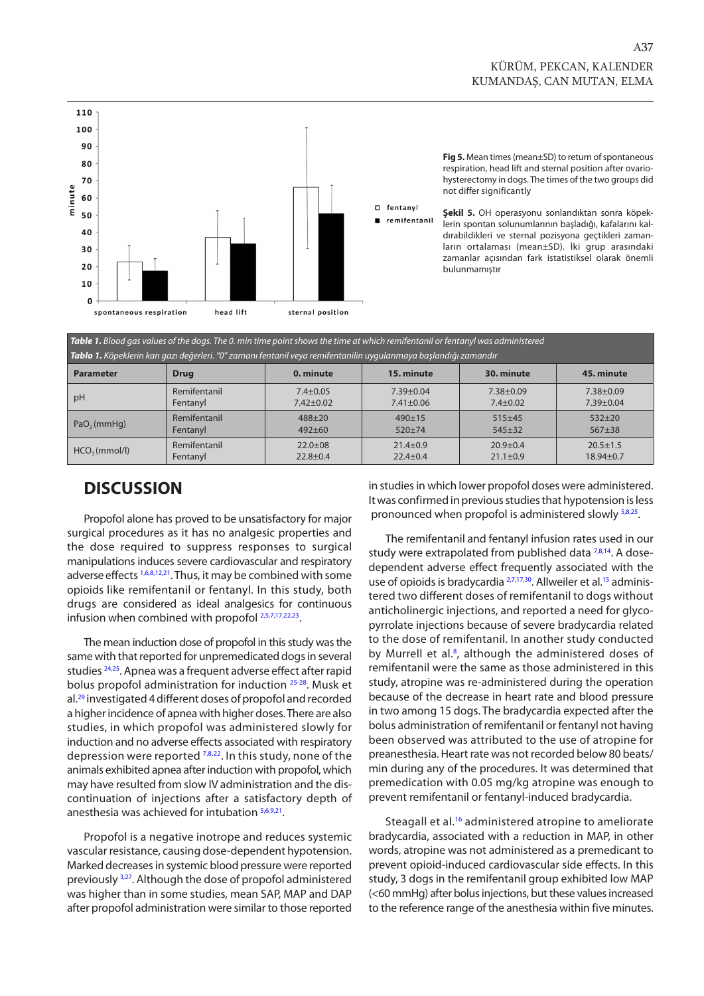<span id="page-4-0"></span>

**Fig 5.** Mean times (mean±SD) to return of spontaneous respiration, head lift and sternal position after ovariohysterectomy in dogs. The times of the two groups did not differ significantly

**Şekil 5.** OH operasyonu sonlandıktan sonra köpeklerin spontan solunumlarının başladığı, kafalarını kaldırabildikleri ve sternal pozisyona geçtikleri zamanların ortalaması (mean±SD). İki grup arasındaki zamanlar açısından fark istatistiksel olarak önemli bulunmamıştır

| <b>Table 1.</b> Blood gas values of the dogs. The 0. min time point shows the time at which remifentanil or fentanyl was administered                                                                                                                                                      |  |
|--------------------------------------------------------------------------------------------------------------------------------------------------------------------------------------------------------------------------------------------------------------------------------------------|--|
| $\tau$ , i.e., $\tau$ , $\tau$ , $\tau$ , $\tau$ , $\tau$ , $\tau$ , $\tau$ , $\tau$ , $\tau$ , $\tau$ , $\tau$ , $\tau$ , $\tau$ , $\tau$ , $\tau$ , $\tau$ , $\tau$ , $\tau$ , $\tau$ , $\tau$ , $\tau$ , $\tau$ , $\tau$ , $\tau$ , $\tau$ , $\tau$ , $\tau$ , $\tau$ , $\tau$ , $\tau$ |  |

| <b>Tablo 1.</b> Köpeklerin kan gazı değerleri. "O" zamanı fentanil veya remifentanilin uygulanmaya başlandığı zamandır |              |                |                 |                |                 |  |  |
|------------------------------------------------------------------------------------------------------------------------|--------------|----------------|-----------------|----------------|-----------------|--|--|
| <b>Parameter</b>                                                                                                       | <b>Drug</b>  | 0. minute      | 15. minute      | 30. minute     | 45. minute      |  |  |
| pH                                                                                                                     | Remifentanil | $7.4 \pm 0.05$ | $7.39 + 0.04$   | $7.38 + 0.09$  | 7.38±0.09       |  |  |
|                                                                                                                        | Fentanyl     | $7.42 + 0.02$  | $7.41 \pm 0.06$ | $7.4 \pm 0.02$ | $7.39 \pm 0.04$ |  |  |
| PaO <sub>2</sub> (mmHq)                                                                                                | Remifentanil | $488 + 20$     | $490 \pm 15$    | $515+45$       | $532 + 20$      |  |  |
|                                                                                                                        | Fentanyl     | $492 + 60$     | $520 + 74$      | $545+32$       | $567 + 38$      |  |  |
| HCO <sub>3</sub> (mmol/l)                                                                                              | Remifentanil | $22.0+08$      | $21.4 \pm 0.9$  | $20.9 + 0.4$   | $20.5 \pm 1.5$  |  |  |
|                                                                                                                        | Fentanyl     | $22.8 + 0.4$   | $22.4 \pm 0.4$  | $21.1 \pm 0.9$ | $18.94 \pm 0.7$ |  |  |

### **DISCUSSION**

Propofol alone has proved to be unsatisfactory for major surgical procedures as it has no analgesic properties and the dose required to suppress responses to surgical manipulations induces severe cardiovascular and respiratory adverse effects [1,6,8,12,21.](#page-6-0) Thus, it may be combined with some opioids like remifentanil or fentanyl. In this study, both drugs are considered as ideal analgesics for continuous infusion when combined with propofo[l 2,5,7,17,22,23.](#page-6-0)

The mean induction dose of propofol in this study was the same with that reported for unpremedicated dogs in several studies <sup>24,25</sup>. Apnea was a frequent adverse effect after rapid bolus propofol administration for induction [25-](#page-6-0)[28.](#page-7-0) Musk et al.<sup>29</sup> investigated 4 different doses of propofol and recorded a higher incidence of apnea with higher doses. There are also studies, in which propofol was administered slowly for induction and no adverse effects associated with respiratory depression were reported <sup>7,8,22</sup>. In this study, none of the animals exhibited apnea after induction with propofol, which may have resulted from slow IV administration and the discontinuation of injections after a satisfactory depth of anesthesia was achieved for intubation [5,6,9,21.](#page-6-0)

Propofol is a negative inotrope and reduces systemic vascular resistance, causing dose-dependent hypotension. Marked decreases in systemic blood pressure were reported previously [3,27.](#page-6-0) Although the dose of propofol administered was higher than in some studies, mean SAP, MAP and DAP after propofol administration were similar to those reported in studies in which lower propofol doses were administered. It was confirmed in previous studies that hypotension is less pronounced when propofol is administered slowly [5,8,25.](#page-6-0) 

The remifentanil and fentanyl infusion rates used in our study were extrapolated from published data  $7,8,14$ . A dosedependent adverse effect frequently associated with the use of opioids is bradycardia <sup>2,7,17,30</sup>. Allweiler et al.<sup>15</sup> administered two different doses of remifentanil to dogs without anticholinergic injections, and reported a need for glycopyrrolate injections because of severe bradycardia related to the dose of remifentanil. In another study conducted by Murrell et al.<sup>8</sup>, although the administered doses of remifentanil were the same as those administered in this study, atropine was re-administered during the operation because of the decrease in heart rate and blood pressure in two among 15 dogs. The bradycardia expected after the bolus administration of remifentanil or fentanyl not having been observed was attributed to the use of atropine for preanesthesia. Heart rate was not recorded below 80 beats/ min during any of the procedures. It was determined that premedication with 0.05 mg/kg atropine was enough to prevent remifentanil or fentanyl-induced bradycardia.

Steagall et al.<sup>[16](#page-6-0)</sup> administered atropine to ameliorate bradycardia, associated with a reduction in MAP, in other words, atropine was not administered as a premedicant to prevent opioid-induced cardiovascular side effects. In this study, 3 dogs in the remifentanil group exhibited low MAP (<60 mmHg) after bolus injections, but these values increased to the reference range of the anesthesia within five minutes.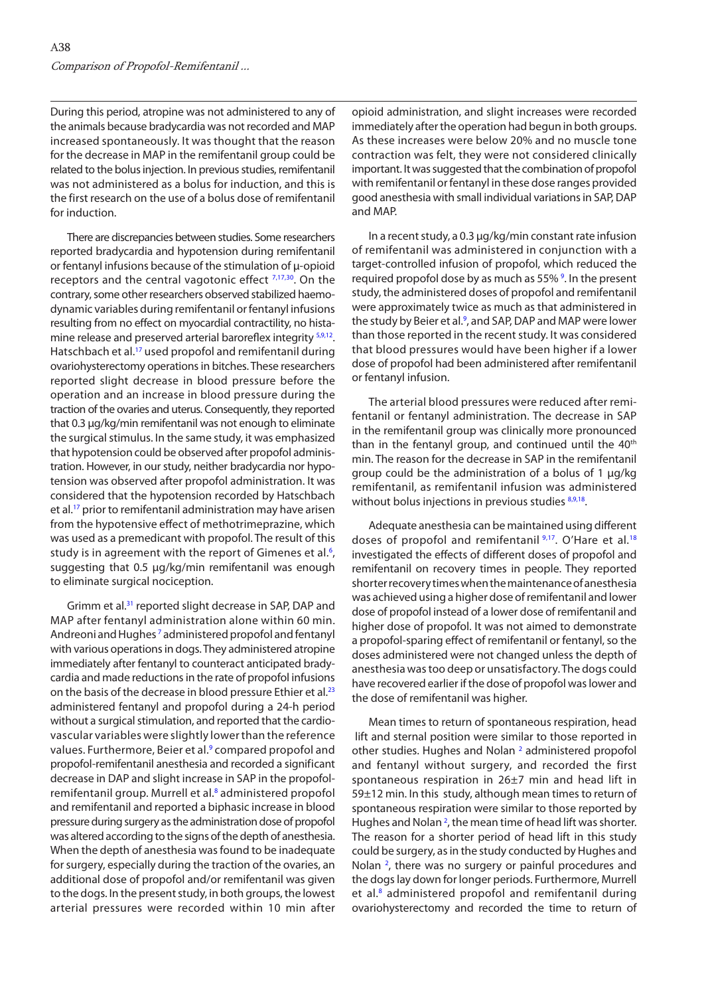During this period, atropine was not administered to any of the animals because bradycardia was not recorded and MAP increased spontaneously. It was thought that the reason for the decrease in MAP in the remifentanil group could be related to the bolus injection. In previous studies, remifentanil was not administered as a bolus for induction, and this is the first research on the use of a bolus dose of remifentanil for induction.

There are discrepancies between studies. Some researchers reported bradycardia and hypotension during remifentanil or fentanyl infusions because of the stimulation of µ-opioid receptors and the central vagotonic effect  $7,17,30$  $7,17,30$ . On the contrary, some other researchers observed stabilized haemodynamic variables during remifentanil or fentanyl infusions resulting from no effect on myocardial contractility, no histamine release and preserved arterial baroreflex integrity  $59,12$  $59,12$ . Hatschbach et al.<sup>17</sup> used propofol and remifentanil during ovariohysterectomy operations in bitches. These researchers reported slight decrease in blood pressure before the operation and an increase in blood pressure during the traction of the ovaries and uterus. Consequently, they reported that 0.3 µg/kg/min remifentanil was not enough to eliminate the surgical stimulus. In the same study, it was emphasized that hypotension could be observed after propofol administration. However, in our study, neither bradycardia nor hypotension was observed after propofol administration. It was considered that the hypotension recorded by Hatschbach et al[.17](#page-6-0) prior to remifentanil administration may have arisen from the hypotensive effect of methotrimeprazine, which was used as a premedicant with propofol. The result of this study is in agreement with the report of Gimenes et al.<sup>6</sup>, suggesting that 0.5 µg/kg/min remifentanil was enough to eliminate surgical nociception.

Grimm et al[.31](#page-7-0) reported slight decrease in SAP, DAP and MAP after fentanyl administration alone within 60 min. Andreoni and Hughes<sup>7</sup> administered propofol and fentanyl with various operations in dogs. They administered atropine immediately after fentanyl to counteract anticipated bradycardia and made reductions in the rate of propofol infusions on the basis of the decrease in blood pressure Ethier et al.<sup>23</sup> administered fentanyl and propofol during a 24-h period without a surgical stimulation, and reported that the cardiovascular variables were slightly lower than the reference values. Furthermore, Beier et al.<sup>[9](#page-6-0)</sup> compared propofol and propofol-remifentanil anesthesia and recorded a significant decrease in DAP and slight increase in SAP in the propofolremifentanil group. Murrell et al.<sup>8</sup> administered propofol and remifentanil and reported a biphasic increase in blood pressure during surgery as the administration dose of propofol was altered according to the signs of the depth of anesthesia. When the depth of anesthesia was found to be inadequate for surgery, especially during the traction of the ovaries, an additional dose of propofol and/or remifentanil was given to the dogs. In the present study, in both groups, the lowest arterial pressures were recorded within 10 min after

opioid administration, and slight increases were recorded immediately after the operation had begun in both groups. As these increases were below 20% and no muscle tone contraction was felt, they were not considered clinically important. It was suggested that the combination of propofol with remifentanil or fentanyl in these dose ranges provided good anesthesia with small individual variations in SAP, DAP and MAP.

In a recent study, a 0.3 µg/kg/min constant rate infusion of remifentanil was administered in conjunction with a target-controlled infusion of propofol, which reduced the required propofol dose by as much as 55%<sup>9</sup>. In the present study, the administered doses of propofol and remifentanil were approximately twice as much as that administered in the study by Beier et al.<sup>[9](#page-6-0)</sup>, and SAP, DAP and MAP were lower than those reported in the recent study. It was considered that blood pressures would have been higher if a lower dose of propofol had been administered after remifentanil or fentanyl infusion.

The arterial blood pressures were reduced after remifentanil or fentanyl administration. The decrease in SAP in the remifentanil group was clinically more pronounced than in the fentanyl group, and continued until the  $40<sup>th</sup>$ min. The reason for the decrease in SAP in the remifentanil group could be the administration of a bolus of 1 µg/kg remifentanil, as remifentanil infusion was administered without bolus injections in previous studies 8,9,18.

Adequate anesthesia can be maintained using different doses of propofol and remifentanil [9,17.](#page-6-0) O'Hare et al.<sup>18</sup> investigated the effects of different doses of propofol and remifentanil on recovery times in people. They reported shorter recovery times when the maintenance of anesthesia was achieved using a higher dose of remifentanil and lower dose of propofol instead of a lower dose of remifentanil and higher dose of propofol. It was not aimed to demonstrate a propofol-sparing effect of remifentanil or fentanyl, so the doses administered were not changed unless the depth of anesthesia was too deep or unsatisfactory. The dogs could have recovered earlier if the dose of propofol was lower and the dose of remifentanil was higher.

Mean times to return of spontaneous respiration, head lift and sternal position were similar to those reported in other studies. Hughes and Nolan<sup>[2](#page-6-0)</sup> administered propofol and fentanyl without surgery, and recorded the first spontaneous respiration in 26±7 min and head lift in 59±12 min. In this study, although mean times to return of spontaneous respiration were similar to those reported by Hughes and Nolan<sup>2</sup>, the mean time of head lift was shorter. The reason for a shorter period of head lift in this study could be surgery, as in the study conducted by Hughes and Nolan<sup>2</sup>, there was no surgery or painful procedures and the dogs lay down for longer periods. Furthermore, Murrell et al.<sup>8</sup> administered propofol and remifentanil during ovariohysterectomy and recorded the time to return of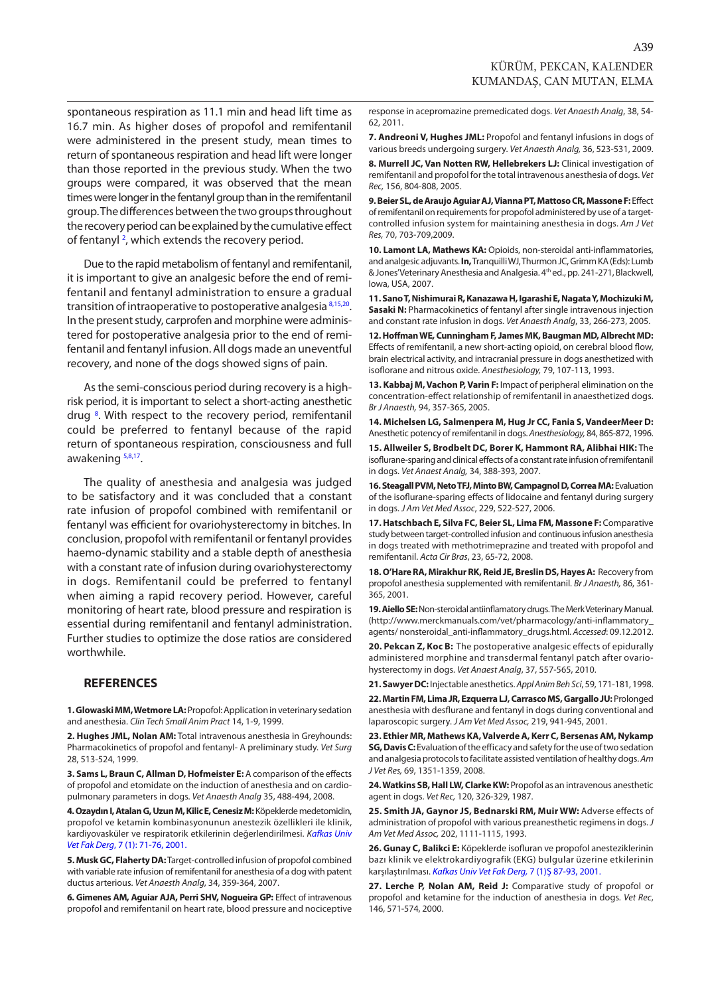<span id="page-6-0"></span>spontaneous respiration as 11.1 min and head lift time as 16.7 min. As higher doses of propofol and remifentanil were administered in the present study, mean times to return of spontaneous respiration and head lift were longer than those reported in the previous study. When the two groups were compared, it was observed that the mean times were longer in the fentanyl group than in the remifentanil group. The differences between the two groups throughout the recovery period can be explained by the cumulative effect of fentanyl <sup>2</sup>, which extends the recovery period.

Due to the rapid metabolism of fentanyl and remifentanil, it is important to give an analgesic before the end of remifentanil and fentanyl administration to ensure a gradual transition of intraoperative to postoperative analgesia 8,15,20. In the present study, carprofen and morphine were administered for postoperative analgesia prior to the end of remifentanil and fentanyl infusion. All dogs made an uneventful recovery, and none of the dogs showed signs of pain.

As the semi-conscious period during recovery is a highrisk period, it is important to select a short-acting anesthetic drug<sup>8</sup>. With respect to the recovery period, remifentanil could be preferred to fentanyl because of the rapid return of spontaneous respiration, consciousness and full awakening 5,8,17.

The quality of anesthesia and analgesia was judged to be satisfactory and it was concluded that a constant rate infusion of propofol combined with remifentanil or fentanyl was efficient for ovariohysterectomy in bitches. In conclusion, propofol with remifentanil or fentanyl provides haemo-dynamic stability and a stable depth of anesthesia with a constant rate of infusion during ovariohysterectomy in dogs. Remifentanil could be preferred to fentanyl when aiming a rapid recovery period. However, careful monitoring of heart rate, blood pressure and respiration is essential during remifentanil and fentanyl administration. Further studies to optimize the dose ratios are considered worthwhile.

#### **REFERENCES**

**1. Glowaski MM, Wetmore LA:** Propofol: Application in veterinary sedation and anesthesia. *Clin Tech Small Anim Pract* 14, 1-9, 1999.

**2. Hughes JML, Nolan AM:** Total intravenous anesthesia in Greyhounds: Pharmacokinetics of propofol and fentanyl- A preliminary study. *Vet Surg* 28, 513-524, 1999.

**3. Sams L, Braun C, Allman D, Hofmeister E:** A comparison of the effects of propofol and etomidate on the induction of anesthesia and on cardiopulmonary parameters in dogs. *Vet Anaesth Analg* 35, 488-494, 2008.

**4. Ozaydın I, Atalan G, Uzun M, Kilic E, Cenesiz M:** Köpeklerde medetomidin, [propofol ve ketamin kombinasyonunun anestezik özellikleri ile klinik,](http://vetdergi.kafkas.edu.tr/extdocs/7_1/71_76.pdf)  kardiyovasküler ve respiratorik etkilerinin değerlendirilmesi. *Kafkas Univ Vet Fak Derg*, 7 (1): 71-76, 2001.

**5. Musk GC, Flaherty DA:** Target-controlled infusion of propofol combined with variable rate infusion of remifentanil for anesthesia of a dog with patent ductus arterious. *Vet Anaesth Analg*, 34, 359-364, 2007.

**6. Gimenes AM, Aguiar AJA, Perri SHV, Nogueira GP:** Effect of intravenous propofol and remifentanil on heart rate, blood pressure and nociceptive response in acepromazine premedicated dogs. *Vet Anaesth Analg*, 38, 54- 62, 2011.

**7. Andreoni V, Hughes JML:** Propofol and fentanyl infusions in dogs of various breeds undergoing surgery. *Vet Anaesth Analg,* 36, 523-531, 2009.

**8. Murrell JC, Van Notten RW, Hellebrekers LJ:** Clinical investigation of remifentanil and propofol for the total intravenous anesthesia of dogs. *Vet Rec,* 156, 804-808, 2005.

**9. Beier SL, de Araujo Aguiar AJ, Vianna PT, Mattoso CR, Massone F:** Effect of remifentanil on requirements for propofol administered by use of a targetcontrolled infusion system for maintaining anesthesia in dogs. *Am J Vet Res,* 70, 703-709,2009.

**10. Lamont LA, Mathews KA:** Opioids, non-steroidal anti-inflammatories, and analgesic adjuvants. **In,** Tranquilli WJ, Thurmon JC, Grimm KA (Eds): Lumb & Jones' Veterinary Anesthesia and Analgesia. 4th ed., pp. 241-271, Blackwell, Iowa, USA, 2007.

**11. Sano T, Nishimurai R, Kanazawa H, Igarashi E, Nagata Y, Mochizuki M, Sasaki N:** Pharmacokinetics of fentanyl after single intravenous injection and constant rate infusion in dogs. *Vet Anaesth Analg*, 33, 266-273, 2005.

**12. Hoffman WE, Cunningham F, James MK, Baugman MD, Albrecht MD:** Effects of remifentanil, a new short-acting opioid, on cerebral blood flow, brain electrical activity, and intracranial pressure in dogs anesthetized with isoflorane and nitrous oxide. *Anesthesiology,* 79, 107-113, 1993.

**13. Kabbaj M, Vachon P, Varin F:** Impact of peripheral elimination on the concentration-effect relationship of remifentanil in anaesthetized dogs. *Br J Anaesth,* 94, 357-365, 2005.

**14. Michelsen LG, Salmenpera M, Hug Jr CC, Fania S, VandeerMeer D:** Anesthetic potency of remifentanil in dogs. *Anesthesiology,* 84, 865-872, 1996.

**15. Allweiler S, Brodbelt DC, Borer K, Hammont RA, Alibhai HIK:** The isoflurane-sparing and clinical effects of a constant rate infusion of remifentanil in dogs. *Vet Anaest Analg,* 34, 388-393, 2007.

**16. Steagall PVM, Neto TFJ, Minto BW, Campagnol D, Correa MA:** Evaluation of the isoflurane-sparing effects of lidocaine and fentanyl during surgery in dogs. *J Am Vet Med Assoc*, 229, 522-527, 2006.

**17. Hatschbach E, Silva FC, Beier SL, Lima FM, Massone F:** Comparative study between target-controlled infusion and continuous infusion anesthesia in dogs treated with methotrimeprazine and treated with propofol and remifentanil. *Acta Cir Bras*, 23, 65-72, 2008.

**18. O'Hare RA, Mirakhur RK, Reid JE, Breslin DS, Hayes A:** Recovery from propofol anesthesia supplemented with remifentanil. *Br J Anaesth,* 86, 361- 365, 2001.

**19. Aiello SE:** Non-steroidal antiinflamatory drugs. The Merk Veterinary Manual. (http://www.merckmanuals.com/vet/pharmacology/anti-inflammatory\_ agents/ nonsteroidal\_anti-inflammatory\_drugs.html. *Accessed*: 09.12.2012.

**20. Pekcan Z, Koc B:** The postoperative analgesic effects of epidurally administered morphine and transdermal fentanyl patch after ovariohysterectomy in dogs. *Vet Anaest Analg*, 37, 557-565, 2010.

**21. Sawyer DC:** Injectable anesthetics. *Appl Anim Beh Sci*, 59, 171-181, 1998.

**22. Martin FM, Lima JR, Ezquerra LJ, Carrasco MS, Gargallo JU:** Prolonged anesthesia with desflurane and fentanyl in dogs during conventional and laparoscopic surgery. *J Am Vet Med Assoc,* 219, 941-945, 2001.

**23. Ethier MR, Mathews KA, Valverde A, Kerr C, Bersenas AM, Nykamp SG, Davis C:** Evaluation of the efficacy and safety for the use of two sedation and analgesia protocols to facilitate assisted ventilation of healthy dogs. *Am J Vet Res,* 69, 1351-1359, 2008.

**24. Watkins SB, Hall LW, Clarke KW:** Propofol as an intravenous anesthetic agent in dogs. *Vet Rec,* 120, 326-329, 1987.

**25. Smith JA, Gaynor JS, Bednarski RM, Muir WW:** Adverse effects of administration of propofol with various preanesthetic regimens in dogs. *J Am Vet Med Assoc,* 202, 1111-1115, 1993.

**26. Gunay C, Balikci E:** Köpeklerde isofluran ve propofol anesteziklerinin [bazı klinik ve elektrokardiyografik \(EKG\) bulgular üzerine etkilerinin](http://vetdergi.kafkas.edu.tr/extdocs/7_1/87_93.pdf)  karşılaştırılması. *Kafkas Univ Vet Fak Derg,* 7 (1)Ş 87-93, 2001.

**27. Lerche P, Nolan AM, Reid J:** Comparative study of propofol or propofol and ketamine for the induction of anesthesia in dogs. *Vet Rec*, 146, 571-574, 2000.